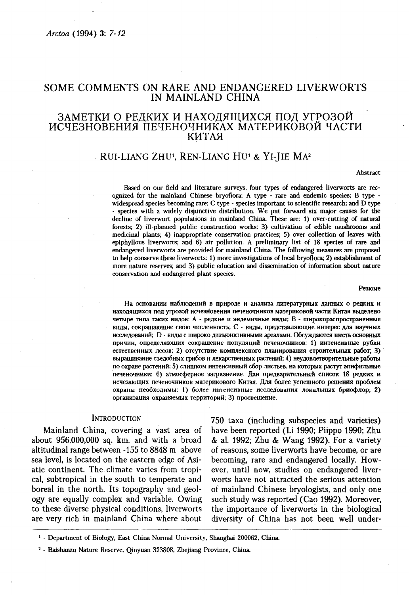# SOME COMMENTS ON RARE AND ENDANGERED LIVERWORTS IN MAINLAND CHINA

# ЗАМЕТКИ О РЕЛКИХ И НАХОДЯШИХСЯ ПОД УГРОЗОЙ ИСЧЕЗНОВЕНИЯ ПЕЧЕНОЧНИКАХ МАТЕРИКОВОЙ ЧАСТИ **КИТАЯ**

## RUI-LIANG ZHU<sup>1</sup>, REN-LIANG HU<sup>1</sup> & YI-HE MA<sup>2</sup>

#### Abstract

Based on our field and literature surveys, four types of endangered liverworts are recognized for the mainland Chinese bryoflora: A type - rare and endemic species; B type widespread species becoming rare; C type - species important to scientific research; and D type - species with a widely disjunctive distribution. We put forward six major causes for the decline of liverwort populations in mainland China. These are: 1) over-cutting of natural forests: 2) ill-planned public construction works: 3) cultivation of edible mushrooms and medicinal plants: 4) inappropriate conservation practices: 5) over collection of leaves with epiphyllous liverworts; and 6) air pollution. A preliminary list of 18 species of rare and endangered liverworts are provided for mainland China. The following measures are proposed to help conserve these liverworts: 1) more investigations of local bryoflora; 2) establishment of more nature reserves; and 3) public education and dissemination of information about nature conservation and endangered plant species.

#### Резюме

На основании наблюдений в природе и анализа литературных данных о редких и находящихся под угрозой исчезновения печеночников материковой части Китая выделено четыре типа таких видов: А - редкие и эндемичные виды; В - широкораспространенные виды, сокращающие свою численность; С - виды, представляющие интерес для научных исследований; D - виды с широко дизъюнктивными ареалами. Обсуждаются шесть основных причин, определяющих сокращение популяций печеночников: 1) интенсивные рубки естественных лесов; 2) отсутствие комплексного планирования строительных работ; 3) выращивание съедобных грибов и лекарственных растений; 4) неудовлетворительные работы по охране растений; 5) слишком интенсивный сбор листьев, на которых растут эпифильные печеночники; 6) атмосферное загрязнение. Дан предварительный список 18 редких и исчезающих печеночников материкового Китая. Для более успешного решения проблем охраны необходимы: 1) более интенсивные исследования локальных бриофлор; 2) организация охраняемых территорий; 3) просвещение.

### **INTRODUCTION**

Mainland China, covering a vast area of about 956,000,000 sq. km. and with a broad altitudinal range between -155 to 8848 m above sea level, is located on the eastern edge of Asiatic continent. The climate varies from tropical, subtropical in the south to temperate and boreal in the north. Its topography and geology are equally complex and variable. Owing to these diverse physical conditions, liverworts are very rich in mainland China where about

750 taxa (including subspecies and varieties) have been reported (Li 1990; Piippo 1990; Zhu & al. 1992; Zhu & Wang 1992). For a variety of reasons, some liverworts have become, or are becoming, rare and endangered locally. However, until now, studies on endangered liverworts have not attracted the serious attention of mainland Chinese bryologists, and only one such study was reported (Cao 1992). Moreover, the importance of liverworts in the biological diversity of China has not been well under-

<sup>&</sup>lt;sup>1</sup> - Department of Biology, East China Normal University, Shanghai 200062, China.

<sup>&</sup>lt;sup>2</sup> - Baishanzu Nature Reserve, Oinvuan 323808, Zheijang Province, China.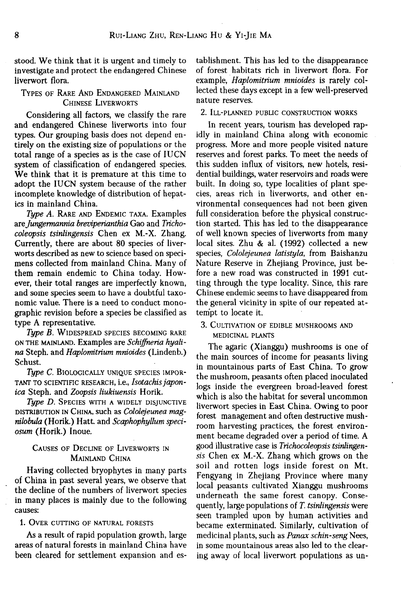stood. We think that it is urgent and timely to investigate and protect the endangered Chinese liverwort flora.

## TYPES OF RARE AND ENDANGERED MAINLAND CHINESE LIVERWORTS

Considering all factors, we classify the rare and endangered Chinese liverworts into four types. Our grouping basis does not depend entirely on the existing size of populations or the total range of a species as is the case of IUCN system of classification of endangered species. We think that it is premature at this time to adopt the IUCN system because of the rather incomplete knowledge of distribution of hepatics in mainland China.

*Type A.* RARE AND ENDEMIC TAXA. Examples *are Jungermannia breviperianthia* Gao and *Trichocoleopsis tsinlingensis* Chen ex M.-X. Zhang. Currently, there are about 80 species of liverworts described as new to science based on specimens collected from mainland China. Many of them remain endemic to China today. However, their total ranges are imperfectly known, and some species seem to have a doubtful taxonomic value. There is a need to conduct monographic revision before a species be classified as type A representative.

*Type B.* WIDESPREAD SPECIES BECOMING RARE ON THE MAINLAND. Examples are *Schiffneria hyalina* Steph. and *Haplomitrium mnioides* (Lindenb.) Schust.

*Type С.* BIOLOGICALLY UNIQUE SPECIES IMPOR-TANT TO SCIENTIFIC RESEARCH, i.e., *Isotachis japonica* Steph. and *Zoopsis liukiuensis* Horik.

*Type D.* SPECIES WITH A WIDELY DISJUNCTIVE DISTRIBUTION IN CHINA, such as *Cololejeunea magnilobula* (Horik.) Hatt. and *Scaphophyllum speciosum* (Horik.) Inoue.

# CAUSES OF DECLINE OF LIVERWORTS IN MAINLAND CHINA

Having collected bryophytes in many parts of China in past several years, we observe that the decline of the numbers of liverwort species in many places is mainly due to the following causes:

## 1. OVER CUTTING OF NATURAL FORESTS

As a result of rapid population growth, large areas of natural forests in mainland China have been cleared for settlement expansion and es-

tablishment. This has led to the disappearance of forest habitats rich in liverwort flora. For example, *Haplomitrium mnioides* is rarely collected these days except in a few well-preserved nature reserves.

### 2. ILL-PLANNED PUBLIC CONSTRUCTION WORKS

In recent years, tourism has developed rapidly in mainland China along with economic progress. More and more people visited nature reserves and forest parks. To meet the needs of this sudden influx of visitors, new hotels, residential buildings, water reservoirs and roads were built. In doing so, type localities of plant species, areas rich in liverworts, and other environmental consequences had not been given full consideration before the physical construction started. This has led to the disappearance of well known species of liverworts from many local sites. Zhu & al. (1992) collected a new species, *Cololejeunea latistyla,* from Baishanzu Nature Reserve in Zhejiang Province, just before a new road was constructed in 1991 cutting through the type locality. Since, this rare Chinese endemic seems to have disappeared from the general vicinity in spite of our repeated attempt to locate it.

## 3. CULTIVATION OF EDIBLE MUSHROOMS AND MEDICINAL PLANTS

The agaric (Xianggu) mushrooms is one of the main sources of income for peasants living in mountainous parts of East China. To grow the mushroom, peasants often placed inoculated logs inside the evergreen broad-leaved forest which is also the habitat for several uncommon liverwort species in East China. Owing to poor forest management and often destructive mushroom harvesting practices, the forest environment became degraded over a period of time. A good illustrative case is *Trichocoleopsis tsinlingensis* Chen ex M.-X. Zhang which grows on the soil and rotten logs inside forest on Mt. Fengyang in Zhejiang Province where many local peasants cultivated Xianggu mushrooms underneath the same forest canopy. Consequently, large populations of *T. tsinlingensis* were seen trampled upon by human activities and became exterminated. Similarly, cultivation of medicinal plants, such as *Panax schin-seng* Nees, in some mountainous areas also led to the clearing away of local liverwort populations as un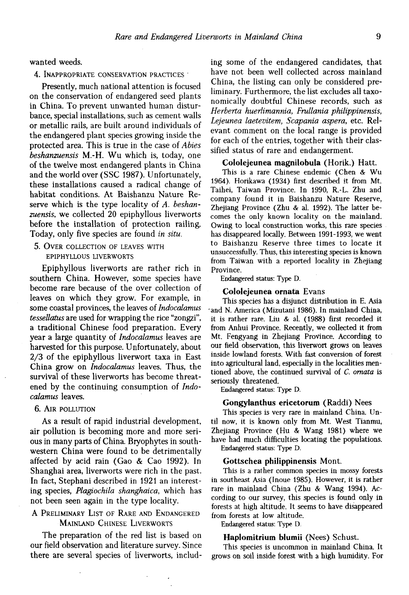wanted weeds.

4. INAPPROPRIATE CONSERVATION PRACTICES •

Presently, much national attention is focused on the conservation of endangered seed plants in China. To prevent unwanted human disturbance, special installations, such as cement walls or metallic rails, are built around individuals of the endangered plant species growing inside the protected area. This is true in the case of *Abies beshanzuensis* M.-H. Wu which is, today, one of the twelve most endangered plants in China and the world over (SSC 1987). Unfortunately, these installations caused a radical change of habitat conditions. At Baishanzu Nature Reserve which is the type locality of *A. beshanzuensis,* we collected 20 epiphyllous liverworts before the installation of protection railing. Today, only five species are found *in situ.* 

5. OVER COLLECTION OF LEAVES WITH EPIPHYLLOUS LIVERWORTS

Epiphyllous liverworts are rather rich in southern China. However, some species have become rare because of the over collection of leaves on which they grow. For example, in some coastal provinces, the leaves of *Indocalamus tessellatus* are used for wrapping the rice "zongzi", a traditional Chinese food preparation. Every year a large quantity of *Indocalamus* leaves are harvested for this purpose. Unfortunately, about 2/3 of the epiphyllous liverwort taxa in East China grow on *Indocalamus* leaves. Thus, the survival of these liverworts has become threatened by the continuing consumption of *Indocalamus* leaves.

6. AIR POLLUTION

As a result of rapid industrial development, air pollution is becoming more and more serious in many parts of China. Bryophytes in southwestern China were found to be detrimentally affected by acid rain (Gao & Cao 1992). In Shanghai area, liverworts were rich in the past. In fact, Stephani described in 1921 an interesting species, *Plagiochila shanghaica,* which has not been seen again in the type locality.

## A PRELIMINARY LIST OF RARE AND ENDANGERED MAINLAND CHINESE LIVERWORTS

The preparation of the red list is based on our field observation and literature survey. Since there are several species of liverworts, including some of the endangered candidates, that have not been well collected across mainland China, the listing can only be considered preliminary. Furthermore, the list excludes all taxonomically doubtful Chinese records, such as *Herberta huerlimannia, Frullania philippinensis, Lejeunea laetevitem, Scapania aspera,* etc. Relevant comment on the local range is provided for each of the entries, together with their classified status of rare and endangerment.

## **Cololejeunea magnilobula** (Horik.) Hatt.

This is a rare Chinese endemic (Chen & Wu 1964). Horikawa (1934) first described it from Mt. Taihei, Taiwan Province. In 1990, R.-L. Zhu and company found it in Baishanzu Nature Reserve, Zhejiang Province (Zhu & al. 1992). The latter becomes the only known locality on the mainland. Owing to local construction works, this rare species has disappeared locally. Between 1991-1993, we went to Baishanzu Reserve three times to locate it unsuccessfully. Thus, this interesting species is known from Taiwan with a reported locality in Zhejiang Province.

Endangered status: Type D.

### **Cololejeunea ornata** Evans

This species has a disjunct distribution in E. Asia •and N. America (Mizutani 1986). In mainland China, it is rather rare. Liu & al. (1988) first recorded it from Anhui Province. Recently, we collected it from Mt. Fengyang in Zhejiang Province. According to our field observation, this liverwort grows on leaves inside lowland forests. With fast conversion of forest into agricultural land, especially in the localities mentioned above, the continued survival of *C. ornata* is seriously threatened.

Endangered status: Type D.

### **Gongylanthus ericetorum** (Raddi) Nees

This species is very rare in mainland China. Until now, it is known only from Mt. West Tianmu, Zhejiang Province (Hu & Wang 1981) where we have had much difficulties locating the populations. Endangered status: Type D.

#### **Gottschea philippinensis** Mont.

This is a rather common species in mossy forests in southeast Asia (Inoue 1985). However, it is rather rare in mainland China (Zhu & Wang 1994). According to our survey, this species is found only in forests at high altitude. It seems to have disappeared from forests at low altitude.

Endangered status: Type D.

#### **Haplomitrium blumii** (Nees) Schust.

This species is uncommon in mainland China. It grows on soil inside forest with a high humidity. For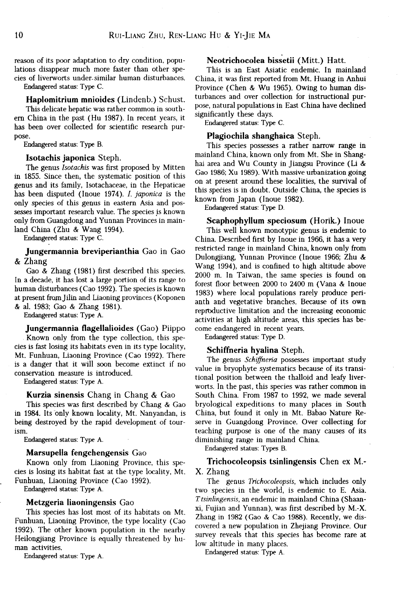reason of its poor adaptation to dry condition, populations disappear much more faster than other species of liverworts under-similar human disturbances.

Endangered status: Type C.

**Haplomitrium mnioides** (Lindenb.) Schust. This delicate hepatic was rather common in southem China in the past (Hu 1987). In recent years, it has been over collected for scientific research purpose.

Endangered status: Type B.

#### **Isotachis japonica** Steph.

The genus *Isotachis* was first proposed by Mitten in 1855. Since then, the systematic position of this genus and its family, Isotachaceae, in the Hepaticae has been disputed (Inoue 1974). *I. japonica* is the only species of this genus in eastern Asia and possesses important research value. The species is known only from Guangdong and Yunnan Provinces in mainland China (Zhu & Wang 1994).

Endangered status: Type C.

## **Jungermannia breviperianthia** Gao **in** Gao **&** Zhang

Gao & Zhang (1981) first described this species. In a decade, it has lost a large portion of its range to human disturbances (Cao 1992). The species is known at present from Jilin and Liaoning provinces (Koponen & al. 1983; Gao & Zhang 1981).

Endangered status: Type A.

**Jungermannia flagellalioides** (Gao) Piippo Known only from the type collection, this species is fast losing its habitats even in its type locality, Mt. Funhuan, Liaoning Province (Cao 1992). There is a danger that it will soon become extinct if no conservation measure is introduced.

Endangered status: Type A.

### **Kurzia sinensis** Chang in Chang & Gao

This species was first described by Chang & Gao in 1984. Its only known locality, Mt. Nanyandan, is being destroyed by the rapid development of tourism.

Endangered status: Type A.

#### **Marsupella fengchengensis** Gao

Known only from Liaoning Province, this species is losing its habitat fast at the type locality, Mt. Funhuan, Liaoning Province (Cao 1992).

Endangered status: Type A.

### **Metzgeria liaoningensis** Gao

This species has lost most of its habitats on Mt. Funhuan, Liaoning Province, the type locality (Cao 1992). The other known population in the nearby Heilongjiang Province is equally threatened by human activities.

Endangered status: Type A.

## **Neotrichocolea bissetii** (Mitt.) Hatt.

This is an East Asiatic endemic. In mainland China, it was first reported from Mt. Huang in Anhui Province (Chen & Wu 1965). Owing to human disturbances and over collection for instructional purpose, natural populations in East China have declined significantly these days.

Endangered status: Type C.

### **Plagiochila shanghaica** Steph.

This species possesses a rather narrow range in mainland China, known only from Mt. She in Shanghai area and Wu County in Jiangsu Province (Li & Gao 1986; Xu 1989). With massive urbanization going on at present around these localities, the survival of this species is in doubt. Outside China, the species is known from Japan (Inoue 1982).

Endangered status: Type D.

**Scaphophyllum speciosum (Horik.) Inoue**  This well known monotypic genus is endemic to China. Described first by Inoue in 1966, it has a very restricted range in mainland China, known only from Dulongjiang, Yunnan Province (Inoue 1966; Zhu & Wang 1994), and is confined to high altitude above 2000 m. In Taiwan, the same species is found on forest floor between 2000 to 2400 m (Vana & Inoue 1983) where local populations rarely produce perianth and vegetative branches. Because of its own reproductive limitation and the increasing economic activities at high altitude areas, this species has become endangered in recent years.

Endangered status: Type D.

### **Schiffheria hyalina** Steph.

The genus *Schiffneria* possesses important study value in bryophyte systematics because of its transitional position between the thalloid and leafy liverworts. In the past, this species was rather common in South China. From 1987 to 1992, we made several bryological expeditions to many places in South China, but found it only in Mt. Babao Nature Reserve in Guangdong Province. Over collecting for teaching purpose is one of the many causes of its diminishing range in mainland China.

Endangered status: Types B.

### **Trichocoleopsis tsinlingensis** Chen **ex M.- X.** Zhang

The genus *Trichocoleopsis,* which includes only two species in the world, is endemic to E. Asia. *7.'tsinlingensis,* an endemic in mainland China (Shaanxi, Fujian and Yunnan), was first described by M.-X. Zhang in 1982 (Gao & Cao 1988). Recently, we discovered a new population in Zhejiang Province. Our survey reveals that this species has become rare at low altitude in many places.

Endangered status: Type A.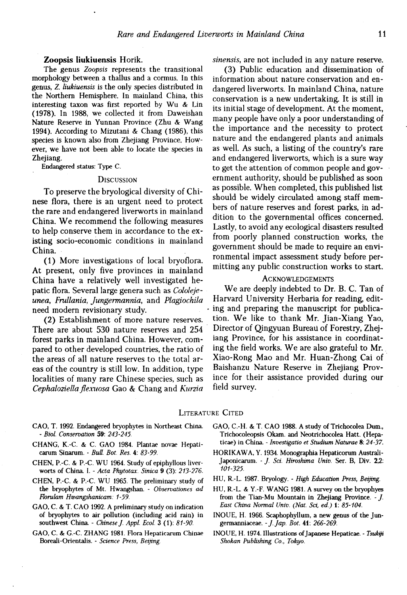### **Zoopsis Iiukiuensis** Horik.

The genus *Zoopsis* represents the transitional morphology between a thallus and a cormus. In this genus, *Z. Iiukiuensis* is the only species distributed in the Northern Hemisphere. In mainland China, this interesting taxon was first reported by Wu & Lin (1978). In 1988, we collected it from Daweishan Nature Reserve in Yunnan Province (Zhu & Wang 1994). According to Mizutani & Chang (1986), this species is known also from Zhejiang Province. However, we have not been able to locate the species in Zheijang.

Endangered status: Type C.

#### **DISCUSSION**

To preserve the bryological diversity of Chinese flora, there is an urgent need to protect the rare and endangered liverworts in mainland China. We recommend the following measures to help conserve them in accordance to the existing socio-economic conditions in mainland China.

(1) More investigations of local bryoflora. At present, only five provinces in mainland China have a relatively well investigated hepatic flora. Several large genera such as *Cololejeunea, Frullania, Jungermannia,* and *Plagiochila*  need modern revisionary study.

(2) Establishment of more nature reserves. There are about 530 nature reserves and 254 forest parks in mainland China. However, compared to other developed countries, the ratio of the areas of all nature reserves to the total areas of the country is still low. In addition, type localities of many rare Chinese species, such as *Cephaloziella flexuosa* Gao & Chang and *Kurzia*  *sinensis,* are not included in any nature reserve.

(3) Public education and dissemination of information about nature conservation and endangered liverworts. In mainland China, nature conservation is a new undertaking. It is still in its initial stage of development. At the moment, many people have only a poor understanding of the importance and the necessity to protect nature and the endangered plants and animals as well. As such, a listing of the country's rare and endangered liverworts, which is a sure way to get the attention of common people and government authority, should be published as soon as possible. When completed, this published list should be widely circulated among staff members of nature reserves and forest parks, in addition to the governmental offices concerned. Lastly, to avoid any ecological disasters resulted from poorly planned construction works, the government should be made to require an environmental impact assessment study before permitting any public construction works to start.

### ACKNOWLEDGEMENTS

We are deeply indebted to Dr. B. C. Tan of Harvard University Herbaria for reading, editing and preparing the manuscript for publication. We like to thank Mr. Jian-Xiang Yao, Director of Qingyuan Bureau of Forestry, Zhejiang Province, for his assistance in coordinating the field works. We are also grateful to Mr. Xiao-Rong Mao and Mr. Huan-Zhong Cai of Baishanzu Nature Reserve in Zhejiang Province for their assistance provided during our field survey.

#### LITERATURE CITED

- CAO, T. 1992. Endangered bryophytes in Northeast China. - *Biol. Conservation* 59: *243-245.*
- CHANG, K.-C. & C. GAO 1984. Plantae novae Hepaticarum Sinarum. - *Bull. Bot. Res.* 4: *83-99.*
- CHEN, P.-C. & P.-C. WU 1964. Study of epiphyllous liverworts of China I. - *Acta Phytotax. Sinica* 9 (3): *213-276.*
- CHEN, P.-C. & P.-C. WU 1965. The preliminary study of the bryophytes of Mt. Hwangshan. - *Observationes ad Florulam Hwangshanicam: 1-59.*
- GAO, C. & T. CAO 1992. A preliminary study on indication of bryophytes to air pollution (including acid rain) in southwest China. - *Chinese J. Appl. Ecol.* 3 (1): *81-90.*
- GAO, & G.-C. ZHANG 1981. Flora Hepaticarum Chinae Boreali-Orientalis. - *Science Press, Beijing*
- GAO, C.-H. & T. CAO 1988. A study of Trichocolea Dum, Trichocoleopsis Okam. and Neotrichocolea Hatt. (Hepaticae) in China. - *Investigatio et Studium Naturae* 8:*24-37.*
- HORIKAWA, Y. 1934. Monographia Hepaticorum Australi-Japonicarum. - /. *Sci. Hiroshima Univ.* Ser. B, Div. 2,2: *101-325.*
- HU, R.-L. 1987. Bryology. - *High Education Press, Beijing.*
- HU, R.-L. & Y.-F. WANG 1981. A survey on the bryophyes from the Tian-Mu Mountain in Zhejiang Province. - / *East China Normal Univ. (Nat. Sci, ed.)* 1: *85-104.*
- INOUE, H. 1966. Scaphophyllum, a new genus of the Jungermanniaceae. *-J.Jap. Bot.* 41: *266-269.*
- INOUE, H. 1974. Illustrations of Japanese Hepaticae. - *Tsukiji Shokan Publishing Co., Tokyo.*